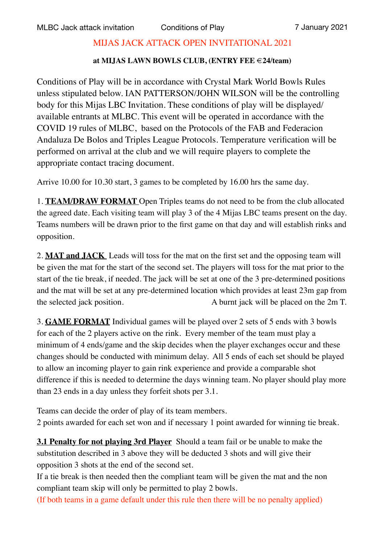## MIJAS JACK ATTACK OPEN INVITATIONAL 2021

## **at MIJAS LAWN BOWLS CLUB, (ENTRY FEE €24/team)**

Conditions of Play will be in accordance with Crystal Mark World Bowls Rules unless stipulated below. IAN PATTERSON/JOHN WILSON will be the controlling body for this Mijas LBC Invitation. These conditions of play will be displayed/ available entrants at MLBC. This event will be operated in accordance with the COVID 19 rules of MLBC, based on the Protocols of the FAB and Federacion Andaluza De Bolos and Triples League Protocols. Temperature verification will be performed on arrival at the club and we will require players to complete the appropriate contact tracing document.

Arrive 10.00 for 10.30 start, 3 games to be completed by 16.00 hrs the same day.

1. **TEAM/DRAW FORMAT** Open Triples teams do not need to be from the club allocated the agreed date. Each visiting team will play 3 of the 4 Mijas LBC teams present on the day. Teams numbers will be drawn prior to the first game on that day and will establish rinks and opposition.

2. **MAT and JACK** Leads will toss for the mat on the first set and the opposing team will be given the mat for the start of the second set. The players will toss for the mat prior to the start of the tie break, if needed. The jack will be set at one of the 3 pre-determined positions and the mat will be set at any pre-determined location which provides at least 23m gap from the selected jack position. A burnt jack will be placed on the 2m T.

3. **GAME FORMAT** Individual games will be played over 2 sets of 5 ends with 3 bowls for each of the 2 players active on the rink. Every member of the team must play a minimum of 4 ends/game and the skip decides when the player exchanges occur and these changes should be conducted with minimum delay. All 5 ends of each set should be played to allow an incoming player to gain rink experience and provide a comparable shot difference if this is needed to determine the days winning team. No player should play more than 23 ends in a day unless they forfeit shots per 3.1.

Teams can decide the order of play of its team members. 2 points awarded for each set won and if necessary 1 point awarded for winning tie break.

**3.1 Penalty for not playing 3rd Player** Should a team fail or be unable to make the substitution described in 3 above they will be deducted 3 shots and will give their opposition 3 shots at the end of the second set.

If a tie break is then needed then the compliant team will be given the mat and the non compliant team skip will only be permitted to play 2 bowls.

(If both teams in a game default under this rule then there will be no penalty applied)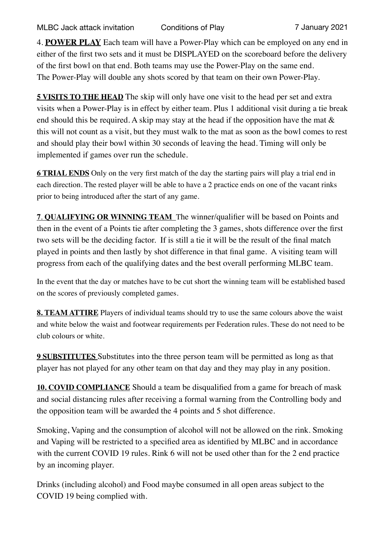4. **POWER PLAY** Each team will have a Power-Play which can be employed on any end in either of the first two sets and it must be DISPLAYED on the scoreboard before the delivery of the first bowl on that end. Both teams may use the Power-Play on the same end. The Power-Play will double any shots scored by that team on their own Power-Play.

**5 VISITS TO THE HEAD** The skip will only have one visit to the head per set and extra visits when a Power-Play is in effect by either team. Plus 1 additional visit during a tie break end should this be required. A skip may stay at the head if the opposition have the mat  $\&$ this will not count as a visit, but they must walk to the mat as soon as the bowl comes to rest and should play their bowl within 30 seconds of leaving the head. Timing will only be implemented if games over run the schedule.

**6 TRIAL ENDS** Only on the very first match of the day the starting pairs will play a trial end in each direction. The rested player will be able to have a 2 practice ends on one of the vacant rinks prior to being introduced after the start of any game.

**7**. **QUALIFYING OR WINNING TEAM** The winner/qualifier will be based on Points and then in the event of a Points tie after completing the 3 games, shots difference over the first two sets will be the deciding factor. If is still a tie it will be the result of the final match played in points and then lastly by shot difference in that final game. A visiting team will progress from each of the qualifying dates and the best overall performing MLBC team.

In the event that the day or matches have to be cut short the winning team will be established based on the scores of previously completed games.

**8. TEAM ATTIRE** Players of individual teams should try to use the same colours above the waist and white below the waist and footwear requirements per Federation rules. These do not need to be club colours or white.

**9 SUBSTITUTES** Substitutes into the three person team will be permitted as long as that player has not played for any other team on that day and they may play in any position.

**10. COVID COMPLIANCE** Should a team be disqualified from a game for breach of mask and social distancing rules after receiving a formal warning from the Controlling body and the opposition team will be awarded the 4 points and 5 shot difference.

Smoking, Vaping and the consumption of alcohol will not be allowed on the rink. Smoking and Vaping will be restricted to a specified area as identified by MLBC and in accordance with the current COVID 19 rules. Rink 6 will not be used other than for the 2 end practice by an incoming player.

Drinks (including alcohol) and Food maybe consumed in all open areas subject to the COVID 19 being complied with.